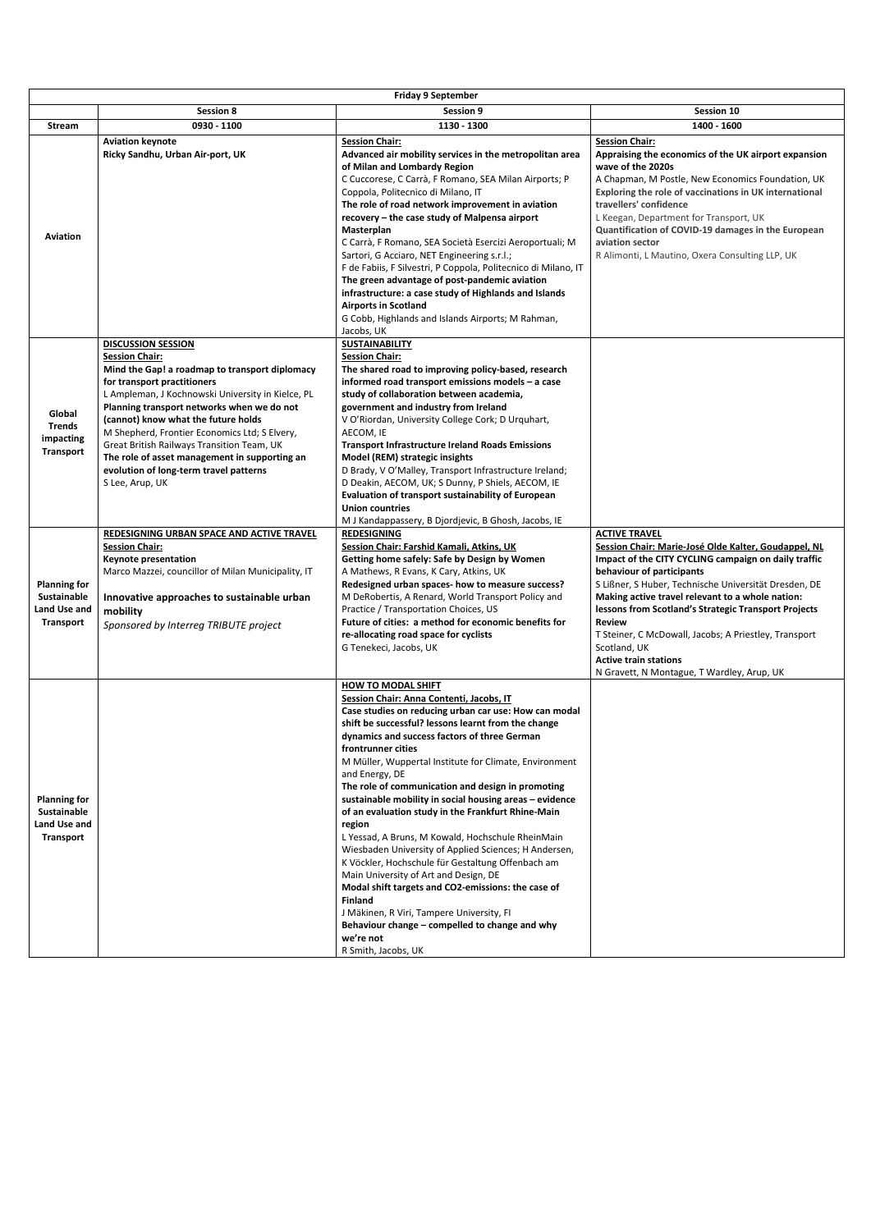|                                                                               |                                                                                                                                                                                                                                                                                                                                                                                                                                                                                            | <b>Friday 9 September</b>                                                                                                                                                                                                                                                                                                                                                                                                                                                                                                                                                                                                                                                                                                                                                                                                                                                                                  |                                                                                                                                                                                                                                                                                                                                                                                                                                                                                                                |
|-------------------------------------------------------------------------------|--------------------------------------------------------------------------------------------------------------------------------------------------------------------------------------------------------------------------------------------------------------------------------------------------------------------------------------------------------------------------------------------------------------------------------------------------------------------------------------------|------------------------------------------------------------------------------------------------------------------------------------------------------------------------------------------------------------------------------------------------------------------------------------------------------------------------------------------------------------------------------------------------------------------------------------------------------------------------------------------------------------------------------------------------------------------------------------------------------------------------------------------------------------------------------------------------------------------------------------------------------------------------------------------------------------------------------------------------------------------------------------------------------------|----------------------------------------------------------------------------------------------------------------------------------------------------------------------------------------------------------------------------------------------------------------------------------------------------------------------------------------------------------------------------------------------------------------------------------------------------------------------------------------------------------------|
|                                                                               | <b>Session 8</b>                                                                                                                                                                                                                                                                                                                                                                                                                                                                           | <b>Session 9</b>                                                                                                                                                                                                                                                                                                                                                                                                                                                                                                                                                                                                                                                                                                                                                                                                                                                                                           | Session 10                                                                                                                                                                                                                                                                                                                                                                                                                                                                                                     |
| <b>Stream</b>                                                                 | 0930 - 1100                                                                                                                                                                                                                                                                                                                                                                                                                                                                                | 1130 - 1300                                                                                                                                                                                                                                                                                                                                                                                                                                                                                                                                                                                                                                                                                                                                                                                                                                                                                                | 1400 - 1600                                                                                                                                                                                                                                                                                                                                                                                                                                                                                                    |
| <b>Aviation</b>                                                               | <b>Aviation keynote</b><br>Ricky Sandhu, Urban Air-port, UK                                                                                                                                                                                                                                                                                                                                                                                                                                | <b>Session Chair:</b><br>Advanced air mobility services in the metropolitan area<br>of Milan and Lombardy Region<br>C Cuccorese, C Carrà, F Romano, SEA Milan Airports; P<br>Coppola, Politecnico di Milano, IT<br>The role of road network improvement in aviation<br>recovery - the case study of Malpensa airport<br>Masterplan<br>C Carrà, F Romano, SEA Società Esercizi Aeroportuali; M<br>Sartori, G Acciaro, NET Engineering s.r.l.;<br>F de Fabiis, F Silvestri, P Coppola, Politecnico di Milano, IT<br>The green advantage of post-pandemic aviation<br>infrastructure: a case study of Highlands and Islands<br><b>Airports in Scotland</b><br>G Cobb, Highlands and Islands Airports; M Rahman,<br>Jacobs, UK                                                                                                                                                                                 | <b>Session Chair:</b><br>Appraising the economics of the UK airport expansion<br>wave of the 2020s<br>A Chapman, M Postle, New Economics Foundation, UK<br>Exploring the role of vaccinations in UK international<br>travellers' confidence<br>L Keegan, Department for Transport, UK<br>Quantification of COVID-19 damages in the European<br>aviation sector<br>R Alimonti, L Mautino, Oxera Consulting LLP, UK                                                                                              |
| Global<br><b>Trends</b><br>impacting<br><b>Transport</b>                      | <b>DISCUSSION SESSION</b><br><b>Session Chair:</b><br>Mind the Gap! a roadmap to transport diplomacy<br>for transport practitioners<br>L Ampleman, J Kochnowski University in Kielce, PL<br>Planning transport networks when we do not<br>(cannot) know what the future holds<br>M Shepherd, Frontier Economics Ltd; S Elvery,<br>Great British Railways Transition Team, UK<br>The role of asset management in supporting an<br>evolution of long-term travel patterns<br>S Lee, Arup, UK | <b>SUSTAINABILITY</b><br><b>Session Chair:</b><br>The shared road to improving policy-based, research<br>informed road transport emissions models - a case<br>study of collaboration between academia,<br>government and industry from Ireland<br>V O'Riordan, University College Cork; D Urquhart,<br>AECOM, IE<br><b>Transport Infrastructure Ireland Roads Emissions</b><br>Model (REM) strategic insights<br>D Brady, V O'Malley, Transport Infrastructure Ireland;<br>D Deakin, AECOM, UK; S Dunny, P Shiels, AECOM, IE<br><b>Evaluation of transport sustainability of European</b><br><b>Union countries</b><br>M J Kandappassery, B Djordjevic, B Ghosh, Jacobs, IE                                                                                                                                                                                                                                |                                                                                                                                                                                                                                                                                                                                                                                                                                                                                                                |
| <b>Planning for</b><br>Sustainable<br>Land Use and<br><b>Transport</b>        | REDESIGNING URBAN SPACE AND ACTIVE TRAVEL<br><b>Session Chair:</b><br>Keynote presentation<br>Marco Mazzei, councillor of Milan Municipality, IT<br>Innovative approaches to sustainable urban<br>mobility<br>Sponsored by Interreg TRIBUTE project                                                                                                                                                                                                                                        | <b>REDESIGNING</b><br><b>Session Chair: Farshid Kamali, Atkins, UK</b><br>Getting home safely: Safe by Design by Women<br>A Mathews, R Evans, K Cary, Atkins, UK<br>Redesigned urban spaces- how to measure success?<br>M DeRobertis, A Renard, World Transport Policy and<br>Practice / Transportation Choices, US<br>Future of cities: a method for economic benefits for<br>re-allocating road space for cyclists<br>G Tenekeci, Jacobs, UK                                                                                                                                                                                                                                                                                                                                                                                                                                                             | <b>ACTIVE TRAVEL</b><br>Session Chair: Marie-José Olde Kalter, Goudappel, NL<br>Impact of the CITY CYCLING campaign on daily traffic<br>behaviour of participants<br>S Lißner, S Huber, Technische Universität Dresden, DE<br>Making active travel relevant to a whole nation:<br>lessons from Scotland's Strategic Transport Projects<br><b>Review</b><br>T Steiner, C McDowall, Jacobs; A Priestley, Transport<br>Scotland, UK<br><b>Active train stations</b><br>N Gravett, N Montague, T Wardley, Arup, UK |
| <b>Planning for</b><br>Sustainable<br><b>Land Use and</b><br><b>Transport</b> |                                                                                                                                                                                                                                                                                                                                                                                                                                                                                            | <b>HOW TO MODAL SHIFT</b><br>Session Chair: Anna Contenti, Jacobs, IT<br>Case studies on reducing urban car use: How can modal<br>shift be successful? lessons learnt from the change<br>dynamics and success factors of three German<br>frontrunner cities<br>M Müller, Wuppertal Institute for Climate, Environment<br>and Energy, DE<br>The role of communication and design in promoting<br>sustainable mobility in social housing areas - evidence<br>of an evaluation study in the Frankfurt Rhine-Main<br>region<br>L Yessad, A Bruns, M Kowald, Hochschule RheinMain<br>Wiesbaden University of Applied Sciences; H Andersen,<br>K Vöckler, Hochschule für Gestaltung Offenbach am<br>Main University of Art and Design, DE<br>Modal shift targets and CO2-emissions: the case of<br><b>Finland</b><br>J Mäkinen, R Viri, Tampere University, FI<br>Behaviour change - compelled to change and why |                                                                                                                                                                                                                                                                                                                                                                                                                                                                                                                |

|  | we're not                |  |  |
|--|--------------------------|--|--|
|  | , Jacobs, UK<br>R Smith. |  |  |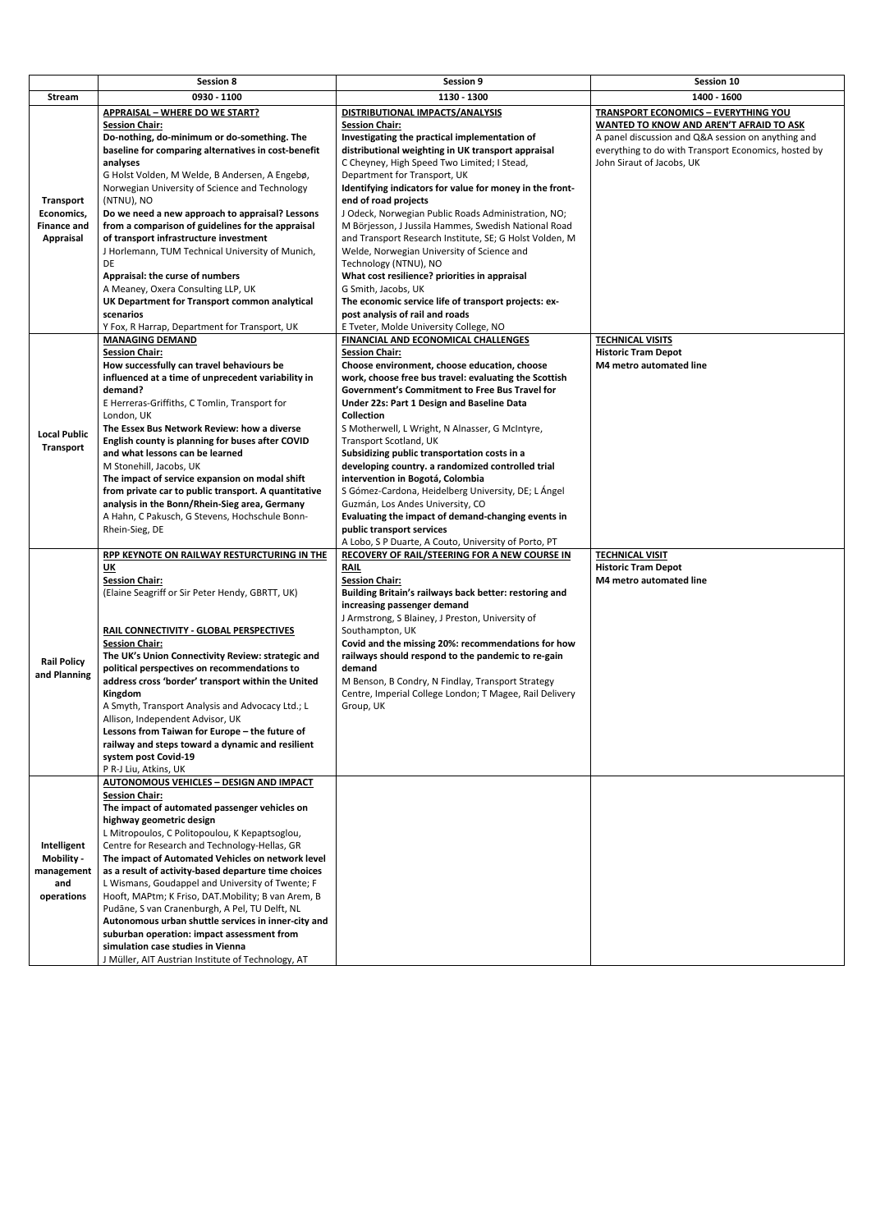|                                                                          | <b>Session 8</b>                                                                                                                                                                                                                                                                                                                                                                                                                                                                                                                                                                                                                                                              | <b>Session 9</b>                                                                                                                                                                                                                                                                                                                                                                                                                                                                                                                                                                                                                                                                                                                                                                                 | Session 10                                                                                                                                                                                                                        |
|--------------------------------------------------------------------------|-------------------------------------------------------------------------------------------------------------------------------------------------------------------------------------------------------------------------------------------------------------------------------------------------------------------------------------------------------------------------------------------------------------------------------------------------------------------------------------------------------------------------------------------------------------------------------------------------------------------------------------------------------------------------------|--------------------------------------------------------------------------------------------------------------------------------------------------------------------------------------------------------------------------------------------------------------------------------------------------------------------------------------------------------------------------------------------------------------------------------------------------------------------------------------------------------------------------------------------------------------------------------------------------------------------------------------------------------------------------------------------------------------------------------------------------------------------------------------------------|-----------------------------------------------------------------------------------------------------------------------------------------------------------------------------------------------------------------------------------|
| Stream                                                                   | 0930 - 1100                                                                                                                                                                                                                                                                                                                                                                                                                                                                                                                                                                                                                                                                   | 1130 - 1300                                                                                                                                                                                                                                                                                                                                                                                                                                                                                                                                                                                                                                                                                                                                                                                      | 1400 - 1600                                                                                                                                                                                                                       |
| <b>Transport</b><br>Economics,<br><b>Finance and</b><br><b>Appraisal</b> | <b>APPRAISAL - WHERE DO WE START?</b><br><b>Session Chair:</b><br>Do-nothing, do-minimum or do-something. The<br>baseline for comparing alternatives in cost-benefit<br>analyses<br>G Holst Volden, M Welde, B Andersen, A Engebø,<br>Norwegian University of Science and Technology<br>(NTNU), NO<br>Do we need a new approach to appraisal? Lessons<br>from a comparison of guidelines for the appraisal<br>of transport infrastructure investment<br>J Horlemann, TUM Technical University of Munich,<br>DE<br>Appraisal: the curse of numbers<br>A Meaney, Oxera Consulting LLP, UK<br>UK Department for Transport common analytical<br>scenarios                         | DISTRIBUTIONAL IMPACTS/ANALYSIS<br><b>Session Chair:</b><br>Investigating the practical implementation of<br>distributional weighting in UK transport appraisal<br>C Cheyney, High Speed Two Limited; I Stead,<br>Department for Transport, UK<br>Identifying indicators for value for money in the front-<br>end of road projects<br>J Odeck, Norwegian Public Roads Administration, NO;<br>M Börjesson, J Jussila Hammes, Swedish National Road<br>and Transport Research Institute, SE; G Holst Volden, M<br>Welde, Norwegian University of Science and<br>Technology (NTNU), NO<br>What cost resilience? priorities in appraisal<br>G Smith, Jacobs, UK<br>The economic service life of transport projects: ex-<br>post analysis of rail and roads                                           | <b>TRANSPORT ECONOMICS - EVERYTHING YOU</b><br>WANTED TO KNOW AND AREN'T AFRAID TO ASK<br>A panel discussion and Q&A session on anything and<br>everything to do with Transport Economics, hosted by<br>John Siraut of Jacobs, UK |
| <b>Local Public</b><br><b>Transport</b>                                  | Y Fox, R Harrap, Department for Transport, UK<br><b>MANAGING DEMAND</b><br><b>Session Chair:</b><br>How successfully can travel behaviours be<br>influenced at a time of unprecedent variability in<br>demand?<br>E Herreras-Griffiths, C Tomlin, Transport for<br>London, UK<br>The Essex Bus Network Review: how a diverse<br>English county is planning for buses after COVID<br>and what lessons can be learned<br>M Stonehill, Jacobs, UK<br>The impact of service expansion on modal shift<br>from private car to public transport. A quantitative<br>analysis in the Bonn/Rhein-Sieg area, Germany<br>A Hahn, C Pakusch, G Stevens, Hochschule Bonn-<br>Rhein-Sieg, DE | E Tveter, Molde University College, NO<br>FINANCIAL AND ECONOMICAL CHALLENGES<br><b>Session Chair:</b><br>Choose environment, choose education, choose<br>work, choose free bus travel: evaluating the Scottish<br>Government's Commitment to Free Bus Travel for<br>Under 22s: Part 1 Design and Baseline Data<br><b>Collection</b><br>S Motherwell, L Wright, N Alnasser, G McIntyre,<br>Transport Scotland, UK<br>Subsidizing public transportation costs in a<br>developing country. a randomized controlled trial<br>intervention in Bogotá, Colombia<br>S Gómez-Cardona, Heidelberg University, DE; L Ángel<br>Guzmán, Los Andes University, CO<br>Evaluating the impact of demand-changing events in<br>public transport services<br>A Lobo, S P Duarte, A Couto, University of Porto, PT | <b>TECHNICAL VISITS</b><br><b>Historic Tram Depot</b><br><b>M4 metro automated line</b>                                                                                                                                           |
| <b>Rail Policy</b><br>and Planning                                       | RPP KEYNOTE ON RAILWAY RESTURCTURING IN THE<br>$\underline{\mathsf{UK}}$<br><b>Session Chair:</b><br>(Elaine Seagriff or Sir Peter Hendy, GBRTT, UK)<br>RAIL CONNECTIVITY - GLOBAL PERSPECTIVES<br><b>Session Chair:</b><br>The UK's Union Connectivity Review: strategic and<br>political perspectives on recommendations to<br>address cross 'border' transport within the United<br>Kingdom<br>A Smyth, Transport Analysis and Advocacy Ltd.; L<br>Allison, Independent Advisor, UK<br>Lessons from Taiwan for Europe - the future of<br>railway and steps toward a dynamic and resilient<br>system post Covid-19<br>P R-J Liu, Atkins, UK                                 | RECOVERY OF RAIL/STEERING FOR A NEW COURSE IN<br><b>RAIL</b><br><b>Session Chair:</b><br>Building Britain's railways back better: restoring and<br>increasing passenger demand<br>J Armstrong, S Blainey, J Preston, University of<br>Southampton, UK<br>Covid and the missing 20%: recommendations for how<br>railways should respond to the pandemic to re-gain<br>demand<br>M Benson, B Condry, N Findlay, Transport Strategy<br>Centre, Imperial College London; T Magee, Rail Delivery<br>Group, UK                                                                                                                                                                                                                                                                                         | <b>TECHNICAL VISIT</b><br><b>Historic Tram Depot</b><br>M4 metro automated line                                                                                                                                                   |
| Intelligent<br><b>Mobility -</b><br>management<br>and<br>operations      | <b>AUTONOMOUS VEHICLES - DESIGN AND IMPACT</b><br><b>Session Chair:</b><br>The impact of automated passenger vehicles on<br>highway geometric design<br>L Mitropoulos, C Politopoulou, K Kepaptsoglou,<br>Centre for Research and Technology-Hellas, GR<br>The impact of Automated Vehicles on network level<br>as a result of activity-based departure time choices<br>L Wismans, Goudappel and University of Twente; F<br>Hooft, MAPtm; K Friso, DAT.Mobility; B van Arem, B<br>Pudāne, S van Cranenburgh, A Pel, TU Delft, NL<br>Autonomous urban shuttle services in inner-city and                                                                                       |                                                                                                                                                                                                                                                                                                                                                                                                                                                                                                                                                                                                                                                                                                                                                                                                  |                                                                                                                                                                                                                                   |

| suburban operation: impact assessment from         |  |
|----------------------------------------------------|--|
| simulation case studies in Vienna                  |  |
| J Müller, AIT Austrian Institute of Technology, AT |  |